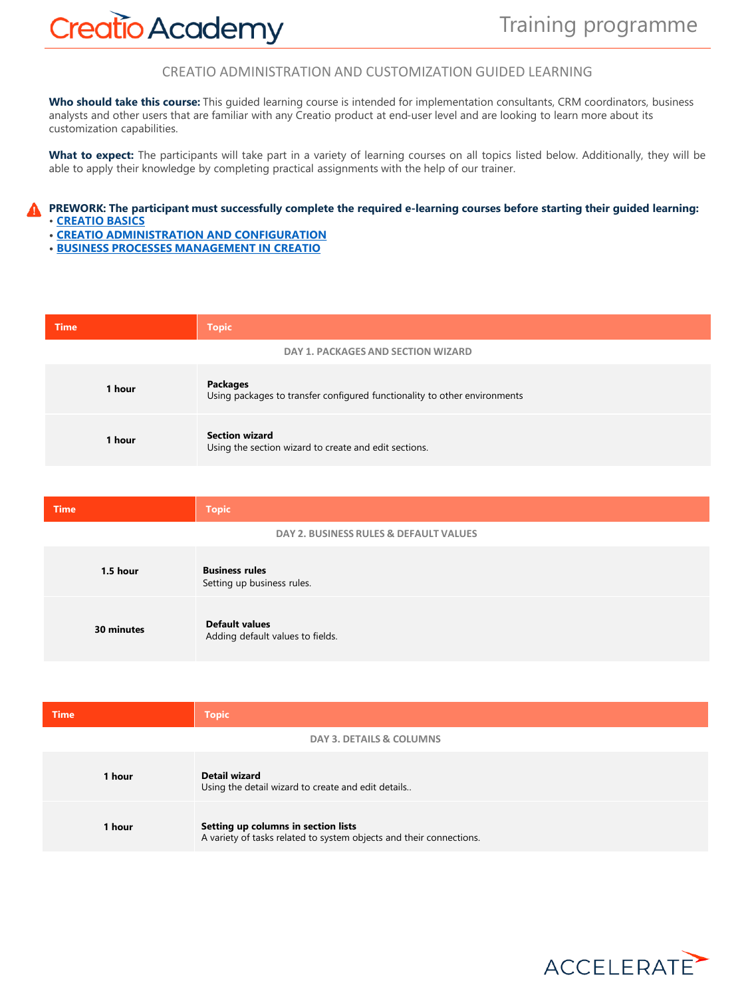## **Creatio Academy**

CREATIO ADMINISTRATION AND CUSTOMIZATION GUIDED LEARNING

**Who should take this course:** This guided learning course is intended for implementation consultants, CRM coordinators, business analysts and other users that are familiar with any Creatio product at end-user level and are looking to learn more about its customization capabilities.

**What to expect:** The participants will take part in a variety of learning courses on all topics listed below. Additionally, they will be able to apply their knowledge by completing practical assignments with the help of our trainer.

## PREWORK: The participant must successfully complete the required e-learning courses before starting their guided learning: • **[CREATIO BASICS](https://academy.creatio.com/online-courses/creatio-basics)**

- **• CREATIO [ADMINISTRATION](https://academy.creatio.com/online-courses/creatio-administration-and-configuration-0) AND CONFIGURATION**
- **• BUSINESS PROCESSES [MANAGEMENT](https://academy.creatio.com/online-courses/business-processes-management-creatio) IN CREATIO**

| <b>Time</b> | <b>Topic</b>                                                                                 |
|-------------|----------------------------------------------------------------------------------------------|
|             | DAY 1. PACKAGES AND SECTION WIZARD                                                           |
| 1 hour      | <b>Packages</b><br>Using packages to transfer configured functionality to other environments |
| 1 hour      | <b>Section wizard</b><br>Using the section wizard to create and edit sections.               |

| <b>Time</b> | <b>Topic</b>                                              |
|-------------|-----------------------------------------------------------|
|             | DAY 2. BUSINESS RULES & DEFAULT VALUES                    |
| 1.5 hour    | <b>Business rules</b><br>Setting up business rules.       |
| 30 minutes  | <b>Default values</b><br>Adding default values to fields. |

| <b>Time</b> | <b>Topic</b>                                                                                               |
|-------------|------------------------------------------------------------------------------------------------------------|
|             | DAY 3. DETAILS & COLUMNS                                                                                   |
| 1 hour      | Detail wizard<br>Using the detail wizard to create and edit details                                        |
| 1 hour      | Setting up columns in section lists<br>A variety of tasks related to system objects and their connections. |

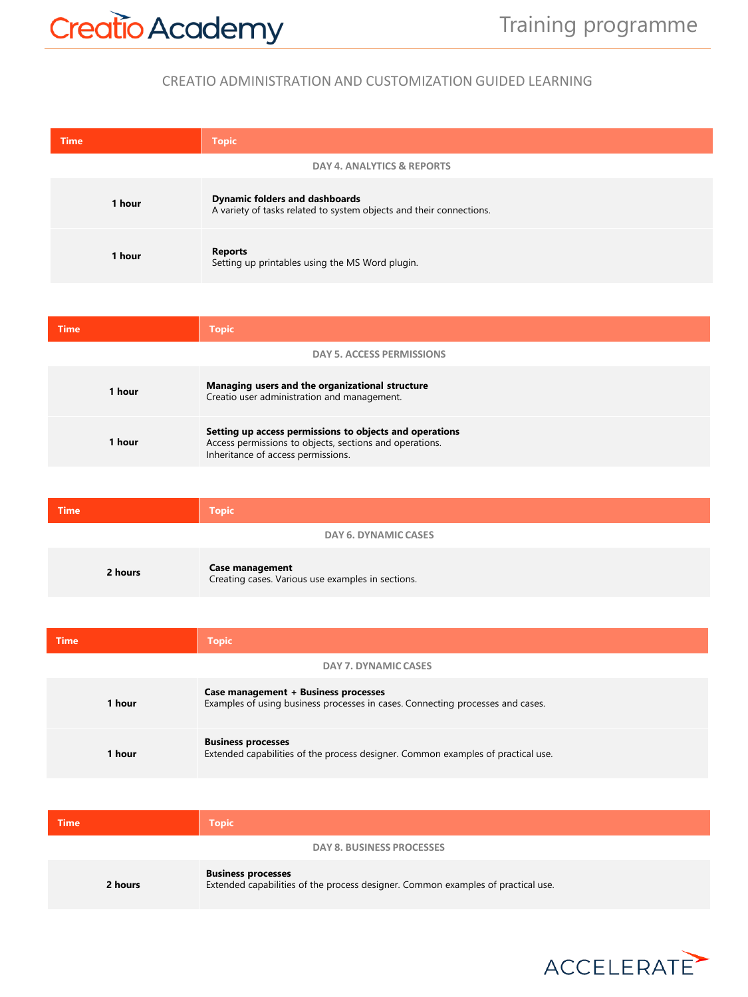## CREATIO ADMINISTRATION AND CUSTOMIZATION GUIDED LEARNING

| <b>Time</b> | <b>Topic</b>                                                                                                 |
|-------------|--------------------------------------------------------------------------------------------------------------|
|             | DAY 4. ANALYTICS & REPORTS                                                                                   |
| 1 hour      | <b>Dynamic folders and dashboards</b><br>A variety of tasks related to system objects and their connections. |
| 1 hour      | <b>Reports</b><br>Setting up printables using the MS Word plugin.                                            |

| <b>Time</b> | <b>Topic</b>                                                                                                                                             |
|-------------|----------------------------------------------------------------------------------------------------------------------------------------------------------|
|             | <b>DAY 5. ACCESS PERMISSIONS</b>                                                                                                                         |
| 1 hour      | Managing users and the organizational structure<br>Creatio user administration and management.                                                           |
| 1 hour      | Setting up access permissions to objects and operations<br>Access permissions to objects, sections and operations.<br>Inheritance of access permissions. |

| <b>Time</b> | <b>Topic</b>                                                                |
|-------------|-----------------------------------------------------------------------------|
|             | DAY 6. DYNAMIC CASES                                                        |
| 2 hours     | <b>Case management</b><br>Creating cases. Various use examples in sections. |

| <b>Time</b> | <b>Topic</b>                                                                                                           |
|-------------|------------------------------------------------------------------------------------------------------------------------|
|             | DAY 7. DYNAMIC CASES                                                                                                   |
| 1 hour      | Case management + Business processes<br>Examples of using business processes in cases. Connecting processes and cases. |
| 1 hour      | <b>Business processes</b><br>Extended capabilities of the process designer. Common examples of practical use.          |

| <b>Time</b> | <b>Topic</b>                                                                                                  |
|-------------|---------------------------------------------------------------------------------------------------------------|
|             | DAY 8. BUSINESS PROCESSES                                                                                     |
| 2 hours     | <b>Business processes</b><br>Extended capabilities of the process designer. Common examples of practical use. |